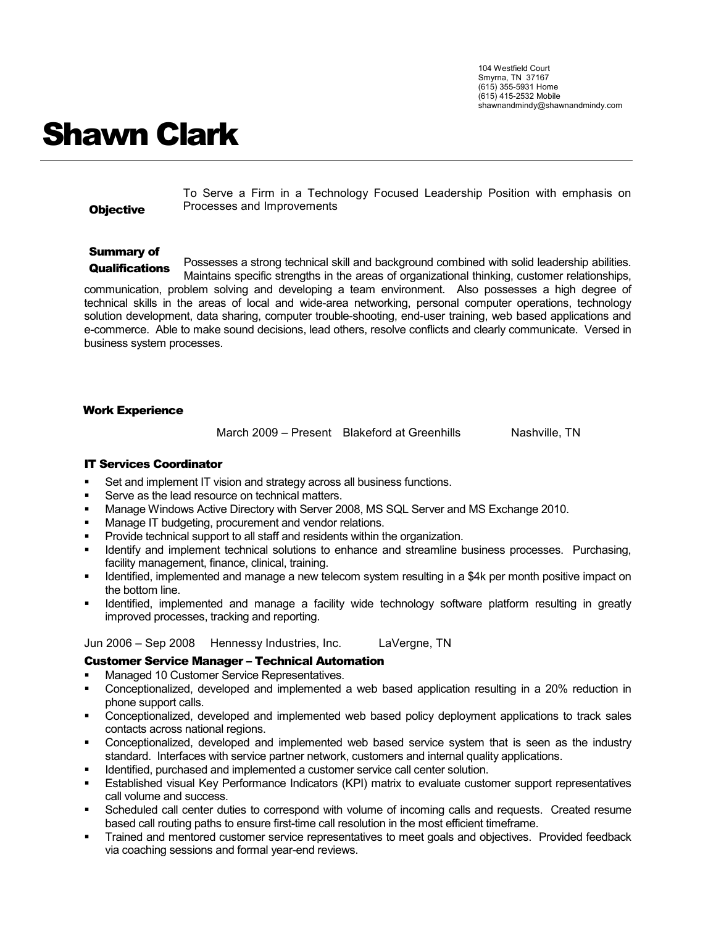104 Westfield Court Smyrna, TN 37167 (615) 355-5931 Home (615) 415-2532 Mobile shawnandmindy@shawnandmindy.com

# Shawn Clark

**Objective** 

To Serve a Firm in a Technology Focused Leadership Position with emphasis on Processes and Improvements

## Summary of

Possesses a strong technical skill and background combined with solid leadership abilities. Maintains specific strengths in the areas of organizational thinking, customer relationships, communication, problem solving and developing a team environment. Also possesses a high degree of technical skills in the areas of local and wide-area networking, personal computer operations, technology solution development, data sharing, computer trouble-shooting, end-user training, web based applications and e-commerce. Able to make sound decisions, lead others, resolve conflicts and clearly communicate. Versed in business system processes. **Qualifications** 

### Work Experience

March 2009 – Present Blakeford at Greenhills Nashville, TN

### IT Services Coordinator

- Set and implement IT vision and strategy across all business functions.
- Serve as the lead resource on technical matters.
- Manage Windows Active Directory with Server 2008, MS SQL Server and MS Exchange 2010.
- Manage IT budgeting, procurement and vendor relations.
- Provide technical support to all staff and residents within the organization.
- Identify and implement technical solutions to enhance and streamline business processes. Purchasing, facility management, finance, clinical, training.
- Identified, implemented and manage a new telecom system resulting in a \$4k per month positive impact on the bottom line.
- Identified, implemented and manage a facility wide technology software platform resulting in greatly improved processes, tracking and reporting.

Jun 2006 – Sep 2008 Hennessy Industries, Inc. LaVergne, TN

### Customer Service Manager – Technical Automation

- Managed 10 Customer Service Representatives.
- Conceptionalized, developed and implemented a web based application resulting in a 20% reduction in phone support calls.
- Conceptionalized, developed and implemented web based policy deployment applications to track sales contacts across national regions.
- Conceptionalized, developed and implemented web based service system that is seen as the industry standard. Interfaces with service partner network, customers and internal quality applications.
- Identified, purchased and implemented a customer service call center solution.
- Established visual Key Performance Indicators (KPI) matrix to evaluate customer support representatives call volume and success.
- Scheduled call center duties to correspond with volume of incoming calls and requests. Created resume based call routing paths to ensure first-time call resolution in the most efficient timeframe.
- Trained and mentored customer service representatives to meet goals and objectives. Provided feedback via coaching sessions and formal year-end reviews.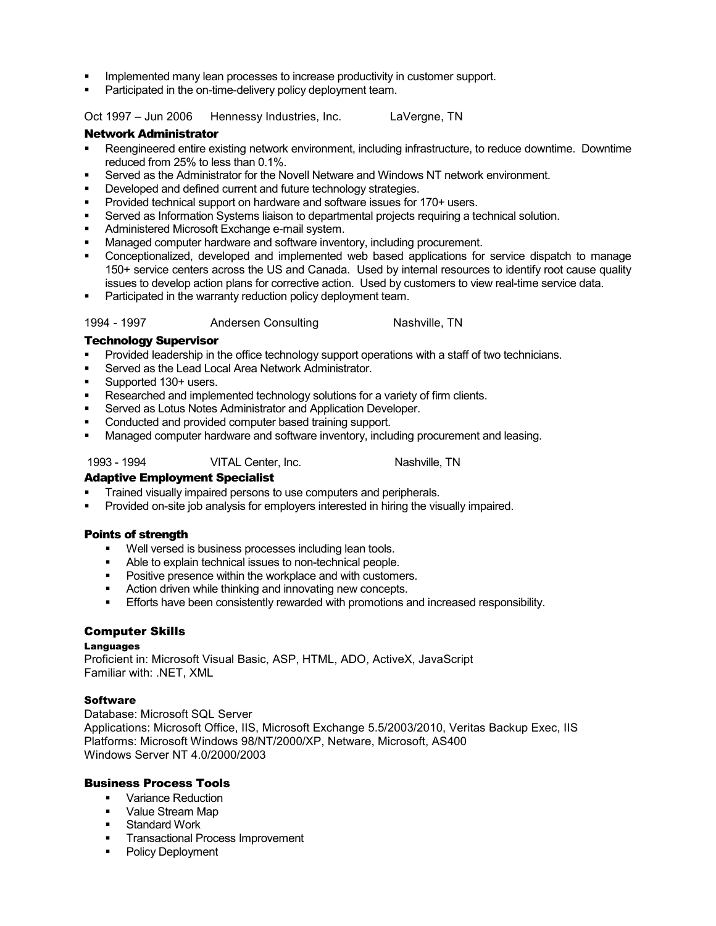- Implemented many lean processes to increase productivity in customer support.
- Participated in the on-time-delivery policy deployment team.

Oct 1997 – Jun 2006 Hennessy Industries, Inc. LaVergne, TN

#### Network Administrator

- Reengineered entire existing network environment, including infrastructure, to reduce downtime. Downtime reduced from 25% to less than 0.1%.
- Served as the Administrator for the Novell Netware and Windows NT network environment.
- Developed and defined current and future technology strategies.
- Provided technical support on hardware and software issues for 170+ users.
- Served as Information Systems liaison to departmental projects requiring a technical solution.
- Administered Microsoft Exchange e-mail system.
- Managed computer hardware and software inventory, including procurement.
- Conceptionalized, developed and implemented web based applications for service dispatch to manage 150+ service centers across the US and Canada. Used by internal resources to identify root cause quality issues to develop action plans for corrective action. Used by customers to view real-time service data.
- Participated in the warranty reduction policy deployment team.

#### 1994 - 1997 **Andersen Consulting Nashville, TN**

#### Technology Supervisor

- Provided leadership in the office technology support operations with a staff of two technicians.
- Served as the Lead Local Area Network Administrator.
- Supported 130+ users.
- Researched and implemented technology solutions for a variety of firm clients.
- Served as Lotus Notes Administrator and Application Developer.
- Conducted and provided computer based training support.
- Managed computer hardware and software inventory, including procurement and leasing.

1993 - 1994 VITAL Center, Inc. Nashville, TN

### Adaptive Employment Specialist

- Trained visually impaired persons to use computers and peripherals.
- Provided on-site job analysis for employers interested in hiring the visually impaired.

### Points of strength

- Well versed is business processes including lean tools.
- Able to explain technical issues to non-technical people.
- **Positive presence within the workplace and with customers.**
- **EXECT** Action driven while thinking and innovating new concepts.
- Efforts have been consistently rewarded with promotions and increased responsibility.

### Computer Skills

#### Languages

Proficient in: Microsoft Visual Basic, ASP, HTML, ADO, ActiveX, JavaScript Familiar with: .NET, XML

#### **Software**

Database: Microsoft SQL Server Applications: Microsoft Office, IIS, Microsoft Exchange 5.5/2003/2010, Veritas Backup Exec, IIS Platforms: Microsoft Windows 98/NT/2000/XP, Netware, Microsoft, AS400 Windows Server NT 4.0/2000/2003

### Business Process Tools

- **•** Variance Reduction
- **Value Stream Map**
- **Standard Work**
- **Transactional Process Improvement**
- Policy Deployment